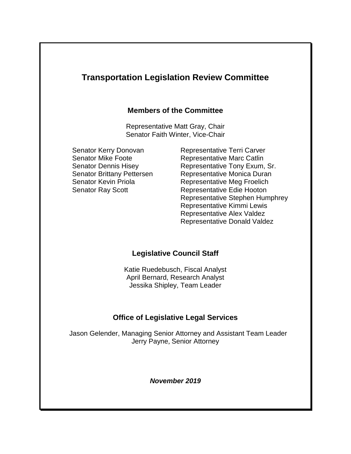# **Transportation Legislation Review Committee Members of the Committee** Representative Matt Gray, Chair Senator Faith Winter, Vice-Chair Senator Kerry Donovan Representative Terri Carver Senator Mike Foote **Representative Marc Catlin** Senator Dennis Hisey Representative Tony Exum, Sr. Senator Brittany Pettersen Representative Monica Duran Senator Kevin Priola **Representative Meg Froelich** Senator Ray Scott Representative Edie Hooton Representative Stephen Humphrey Representative Kimmi Lewis Representative Alex Valdez Representative Donald Valdez

## **Legislative Council Staff**

Katie Ruedebusch, Fiscal Analyst April Bernard, Research Analyst Jessika Shipley, Team Leader

## **Office of Legislative Legal Services**

 Jason Gelender, Managing Senior Attorney and Assistant Team Leader Jerry Payne, Senior Attorney

*November 2019*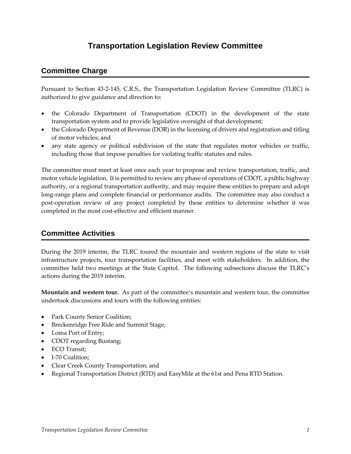# **Transportation Legislation Review Committee**

### **Committee Charge**

Pursuant to Section 43-2-145, C.R.S., the Transportation Legislation Review Committee (TLRC) is authorized to give guidance and direction to:

- the Colorado Department of Transportation (CDOT) in the development of the state transportation system and to provide legislative oversight of that development;
- the Colorado Department of Revenue (DOR) in the licensing of drivers and registration and titling of motor vehicles; and
- any state agency or political subdivision of the state that regulates motor vehicles or traffic, including those that impose penalties for violating traffic statutes and rules.

The committee must meet at least once each year to propose and review transportation, traffic, and motor vehicle legislation. It is permitted to review any phase of operations of CDOT, a public highway authority, or a regional transportation authority, and may require these entities to prepare and adopt long-range plans and complete financial or performance audits. The committee may also conduct a post-operation review of any project completed by these entities to determine whether it was completed in the most cost-effective and efficient manner.

#### **Committee Activities**

During the 2019 interim, the TLRC toured the mountain and western regions of the state to visit infrastructure projects, tour transportation facilities, and meet with stakeholders. In addition, the committee held two meetings at the State Capitol. The following subsections discuss the TLRC's actions during the 2019 interim.

**Mountain and western tour.** As part of the committee's mountain and western tour, the committee undertook discussions and tours with the following entities:

- Park County Senior Coalition;
- Breckenridge Free Ride and Summit Stage;
- Loma Port of Entry;
- CDOT regarding Bustang;
- ECO Transit:
- I-70 Coalition:
- Clear Creek County Transportation; and
- Regional Transportation District (RTD) and EasyMile at the 61st and Pena RTD Station.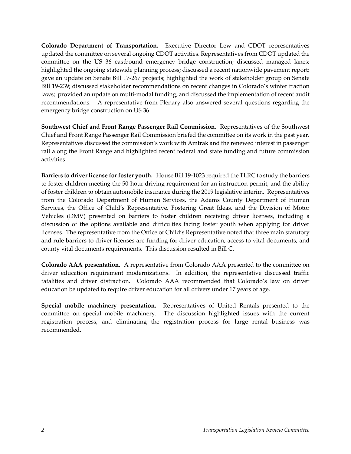**Colorado Department of Transportation.** Executive Director Lew and CDOT representatives updated the committee on several ongoing CDOT activities. Representatives from CDOT updated the committee on the US 36 eastbound emergency bridge construction; discussed managed lanes; highlighted the ongoing statewide planning process; discussed a recent nationwide pavement report; gave an update on Senate Bill 17-267 projects; highlighted the work of stakeholder group on Senate Bill 19-239; discussed stakeholder recommendations on recent changes in Colorado's winter traction laws; provided an update on multi-modal funding; and discussed the implementation of recent audit recommendations. A representative from Plenary also answered several questions regarding the emergency bridge construction on US 36.

**Southwest Chief and Front Range Passenger Rail Commission**. Representatives of the Southwest Chief and Front Range Passenger Rail Commission briefed the committee on its work in the past year. Representatives discussed the commission's work with Amtrak and the renewed interest in passenger rail along the Front Range and highlighted recent federal and state funding and future commission activities.

**Barriers to driver license for foster youth.**House Bill 19-1023 required the TLRC to study the barriers to foster children meeting the 50-hour driving requirement for an instruction permit, and the ability of foster children to obtain automobile insurance during the 2019 legislative interim. Representatives from the Colorado Department of Human Services, the Adams County Department of Human Services, the Office of Child's Representative, Fostering Great Ideas, and the Division of Motor Vehicles (DMV) presented on barriers to foster children receiving driver licenses, including a discussion of the options available and difficulties facing foster youth when applying for driver licenses. The representative from the Office of Child's Representative noted that three main statutory and rule barriers to driver licenses are funding for driver education, access to vital documents, and county vital documents requirements. This discussion resulted in Bill C.

**Colorado AAA presentation.**A representative from Colorado AAA presented to the committee on driver education requirement modernizations. In addition, the representative discussed traffic fatalities and driver distraction. Colorado AAA recommended that Colorado's law on driver education be updated to require driver education for all drivers under 17 years of age.

**Special mobile machinery presentation.** Representatives of United Rentals presented to the committee on special mobile machinery. The discussion highlighted issues with the current registration process, and eliminating the registration process for large rental business was recommended.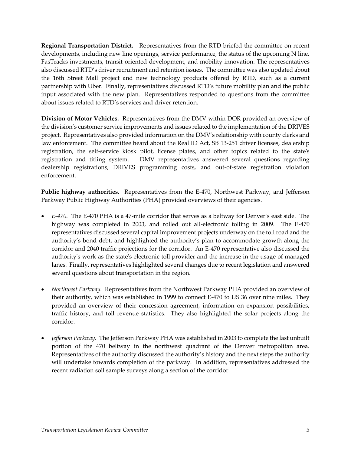**Regional Transportation District.**Representatives from the RTD briefed the committee on recent developments, including new line openings, service performance, the status of the upcoming N line, FasTracks investments, transit-oriented development, and mobility innovation. The representatives also discussed RTD's driver recruitment and retention issues. The committee was also updated about the 16th Street Mall project and new technology products offered by RTD, such as a current partnership with Uber. Finally, representatives discussed RTD's future mobility plan and the public input associated with the new plan. Representatives responded to questions from the committee about issues related to RTD's services and driver retention.

**Division of Motor Vehicles.**Representatives from the DMV within DOR provided an overview of the division's customer service improvements and issues related to the implementation of the DRIVES project. Representatives also provided information on the DMV's relationship with county clerks and law enforcement. The committee heard about the Real ID Act, SB 13-251 driver licenses, dealership registration, the self-service kiosk pilot, license plates, and other topics related to the state's registration and titling system. DMV representatives answered several questions regarding dealership registrations, DRIVES programming costs, and out-of-state registration violation enforcement.

**Public highway authorities.** Representatives from the E-470, Northwest Parkway, and Jefferson Parkway Public Highway Authorities (PHA) provided overviews of their agencies.

- *E-470.* The E-470 PHA is a 47-mile corridor that serves as a beltway for Denver's east side. The highway was completed in 2003, and rolled out all-electronic tolling in 2009. The E-470 representatives discussed several capital improvement projects underway on the toll road and the authority's bond debt, and highlighted the authority's plan to accommodate growth along the corridor and 2040 traffic projections for the corridor. An E-470 representative also discussed the authority's work as the state's electronic toll provider and the increase in the usage of managed lanes. Finally, representatives highlighted several changes due to recent legislation and answered several questions about transportation in the region.
- *Northwest Parkway.* Representatives from the Northwest Parkway PHA provided an overview of their authority, which was established in 1999 to connect E-470 to US 36 over nine miles. They provided an overview of their concession agreement, information on expansion possibilities, traffic history, and toll revenue statistics. They also highlighted the solar projects along the corridor.
- *Jefferson Parkway.* The Jefferson Parkway PHA was established in 2003 to complete the last unbuilt portion of the 470 beltway in the northwest quadrant of the Denver metropolitan area. Representatives of the authority discussed the authority's history and the next steps the authority will undertake towards completion of the parkway. In addition, representatives addressed the recent radiation soil sample surveys along a section of the corridor.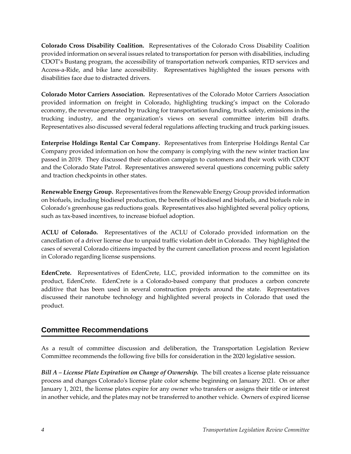**Colorado Cross Disability Coalition.** Representatives of the Colorado Cross Disability Coalition provided information on several issues related to transportation for person with disabilities, including CDOT's Bustang program, the accessibility of transportation network companies, RTD services and Access-a-Ride, and bike lane accessibility. Representatives highlighted the issues persons with disabilities face due to distracted drivers.

**Colorado Motor Carriers Association.** Representatives of the Colorado Motor Carriers Association provided information on freight in Colorado, highlighting trucking's impact on the Colorado economy, the revenue generated by trucking for transportation funding, truck safety, emissions in the trucking industry, and the organization's views on several committee interim bill drafts. Representatives also discussed several federal regulations affecting trucking and truck parking issues.

**Enterprise Holdings Rental Car Company.** Representatives from Enterprise Holdings Rental Car Company provided information on how the company is complying with the new winter traction law passed in 2019. They discussed their education campaign to customers and their work with CDOT and the Colorado State Patrol. Representatives answered several questions concerning public safety and traction checkpoints in other states.

**Renewable Energy Group.**Representatives from the Renewable Energy Group provided information on biofuels, including biodiesel production, the benefits of biodiesel and biofuels, and biofuels role in Colorado's greenhouse gas reductions goals. Representatives also highlighted several policy options, such as tax-based incentives, to increase biofuel adoption.

**ACLU of Colorado.** Representatives of the ACLU of Colorado provided information on the cancellation of a driver license due to unpaid traffic violation debt in Colorado. They highlighted the cases of several Colorado citizens impacted by the current cancellation process and recent legislation in Colorado regarding license suspensions.

**EdenCrete.** Representatives of EdenCrete, LLC, provided information to the committee on its product, EdenCrete. EdenCrete is a Colorado-based company that produces a carbon concrete additive that has been used in several construction projects around the state. Representatives discussed their nanotube technology and highlighted several projects in Colorado that used the product.

#### **Committee Recommendations**

As a result of committee discussion and deliberation, the Transportation Legislation Review Committee recommends the following five bills for consideration in the 2020 legislative session.

*Bill A – License Plate Expiration on Change of Ownership.* The bill creates a license plate reissuance process and changes Colorado's license plate color scheme beginning on January 2021. On or after January 1, 2021, the license plates expire for any owner who transfers or assigns their title or interest in another vehicle, and the plates may not be transferred to another vehicle. Owners of expired license